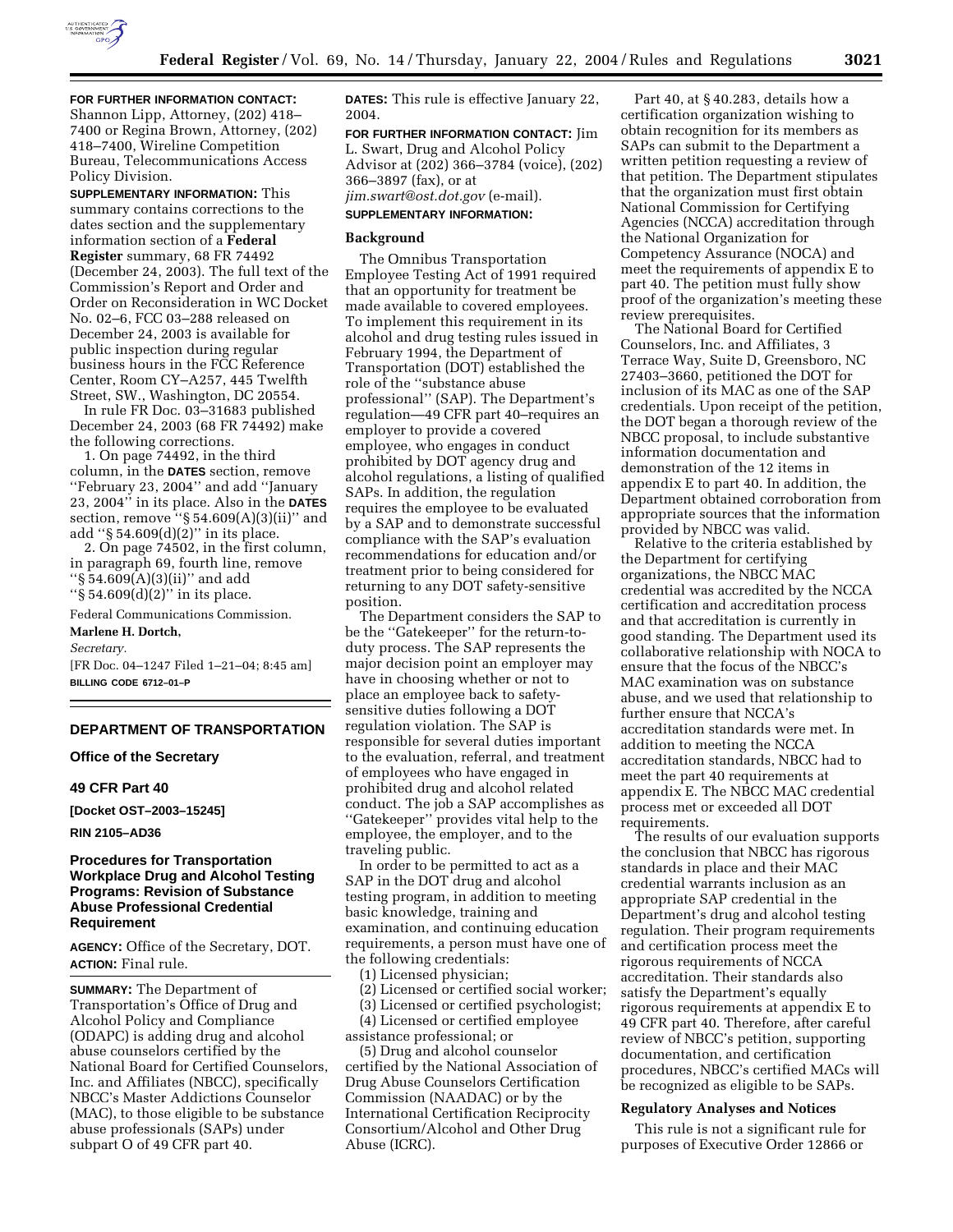

**FOR FURTHER INFORMATION CONTACT:** Shannon Lipp, Attorney, (202) 418– 7400 or Regina Brown, Attorney, (202) 418–7400, Wireline Competition Bureau, Telecommunications Access Policy Division.

**SUPPLEMENTARY INFORMATION:** This summary contains corrections to the dates section and the supplementary information section of a **Federal Register** summary, 68 FR 74492 (December 24, 2003). The full text of the Commission's Report and Order and Order on Reconsideration in WC Docket No. 02–6, FCC 03–288 released on December 24, 2003 is available for public inspection during regular business hours in the FCC Reference Center, Room CY–A257, 445 Twelfth Street, SW., Washington, DC 20554.

In rule FR Doc. 03–31683 published December 24, 2003 (68 FR 74492) make the following corrections.

1. On page 74492, in the third column, in the **DATES** section, remove ''February 23, 2004'' and add ''January 23, 2004'' in its place. Also in the **DATES** section, remove " $\S$  54.609(A)(3)(ii)" and add ''§ 54.609(d)(2)'' in its place.

2. On page 74502, in the first column, in paragraph 69, fourth line, remove  $``\S\bar{5}4.609(A)(3)(ii)"$  and add ''§ 54.609(d)(2)'' in its place.

Federal Communications Commission. **Marlene H. Dortch,** 

*Secretary.*

[FR Doc. 04–1247 Filed 1–21–04; 8:45 am] **BILLING CODE 6712–01–P**

## **DEPARTMENT OF TRANSPORTATION**

#### **Office of the Secretary**

## **49 CFR Part 40**

**[Docket OST–2003–15245]** 

**RIN 2105–AD36**

## **Procedures for Transportation Workplace Drug and Alcohol Testing Programs: Revision of Substance Abuse Professional Credential Requirement**

**AGENCY:** Office of the Secretary, DOT. **ACTION:** Final rule.

**SUMMARY:** The Department of Transportation's Office of Drug and Alcohol Policy and Compliance (ODAPC) is adding drug and alcohol abuse counselors certified by the National Board for Certified Counselors, Inc. and Affiliates (NBCC), specifically NBCC's Master Addictions Counselor (MAC), to those eligible to be substance abuse professionals (SAPs) under subpart O of 49 CFR part 40.

**DATES:** This rule is effective January 22, 2004.

**FOR FURTHER INFORMATION CONTACT:** Jim L. Swart, Drug and Alcohol Policy Advisor at (202) 366–3784 (voice), (202) 366–3897 (fax), or at *jim.swart@ost.dot.gov* (e-mail). **SUPPLEMENTARY INFORMATION:**

# **Background**

The Omnibus Transportation Employee Testing Act of 1991 required that an opportunity for treatment be made available to covered employees. To implement this requirement in its alcohol and drug testing rules issued in February 1994, the Department of Transportation (DOT) established the role of the ''substance abuse professional'' (SAP). The Department's regulation—49 CFR part 40–requires an employer to provide a covered employee, who engages in conduct prohibited by DOT agency drug and alcohol regulations, a listing of qualified SAPs. In addition, the regulation requires the employee to be evaluated by a SAP and to demonstrate successful compliance with the SAP's evaluation recommendations for education and/or treatment prior to being considered for returning to any DOT safety-sensitive position.

The Department considers the SAP to be the ''Gatekeeper'' for the return-toduty process. The SAP represents the major decision point an employer may have in choosing whether or not to place an employee back to safetysensitive duties following a DOT regulation violation. The SAP is responsible for several duties important to the evaluation, referral, and treatment of employees who have engaged in prohibited drug and alcohol related conduct. The job a SAP accomplishes as ''Gatekeeper'' provides vital help to the employee, the employer, and to the traveling public.

In order to be permitted to act as a SAP in the DOT drug and alcohol testing program, in addition to meeting basic knowledge, training and examination, and continuing education requirements, a person must have one of the following credentials:

(1) Licensed physician;

- (2) Licensed or certified social worker;
- (3) Licensed or certified psychologist;
- (4) Licensed or certified employee assistance professional; or
- (5) Drug and alcohol counselor

certified by the National Association of Drug Abuse Counselors Certification Commission (NAADAC) or by the International Certification Reciprocity Consortium/Alcohol and Other Drug Abuse (ICRC).

Part 40, at § 40.283, details how a certification organization wishing to obtain recognition for its members as SAPs can submit to the Department a written petition requesting a review of that petition. The Department stipulates that the organization must first obtain National Commission for Certifying Agencies (NCCA) accreditation through the National Organization for Competency Assurance (NOCA) and meet the requirements of appendix E to part 40. The petition must fully show proof of the organization's meeting these review prerequisites.

The National Board for Certified Counselors, Inc. and Affiliates, 3 Terrace Way, Suite D, Greensboro, NC 27403–3660, petitioned the DOT for inclusion of its MAC as one of the SAP credentials. Upon receipt of the petition, the DOT began a thorough review of the NBCC proposal, to include substantive information documentation and demonstration of the 12 items in appendix E to part 40. In addition, the Department obtained corroboration from appropriate sources that the information provided by NBCC was valid.

Relative to the criteria established by the Department for certifying organizations, the NBCC MAC credential was accredited by the NCCA certification and accreditation process and that accreditation is currently in good standing. The Department used its collaborative relationship with NOCA to ensure that the focus of the NBCC's MAC examination was on substance abuse, and we used that relationship to further ensure that NCCA's accreditation standards were met. In addition to meeting the NCCA accreditation standards, NBCC had to meet the part 40 requirements at appendix E. The NBCC MAC credential process met or exceeded all DOT requirements.

The results of our evaluation supports the conclusion that NBCC has rigorous standards in place and their MAC credential warrants inclusion as an appropriate SAP credential in the Department's drug and alcohol testing regulation. Their program requirements and certification process meet the rigorous requirements of NCCA accreditation. Their standards also satisfy the Department's equally rigorous requirements at appendix E to 49 CFR part 40. Therefore, after careful review of NBCC's petition, supporting documentation, and certification procedures, NBCC's certified MACs will be recognized as eligible to be SAPs.

#### **Regulatory Analyses and Notices**

This rule is not a significant rule for purposes of Executive Order 12866 or